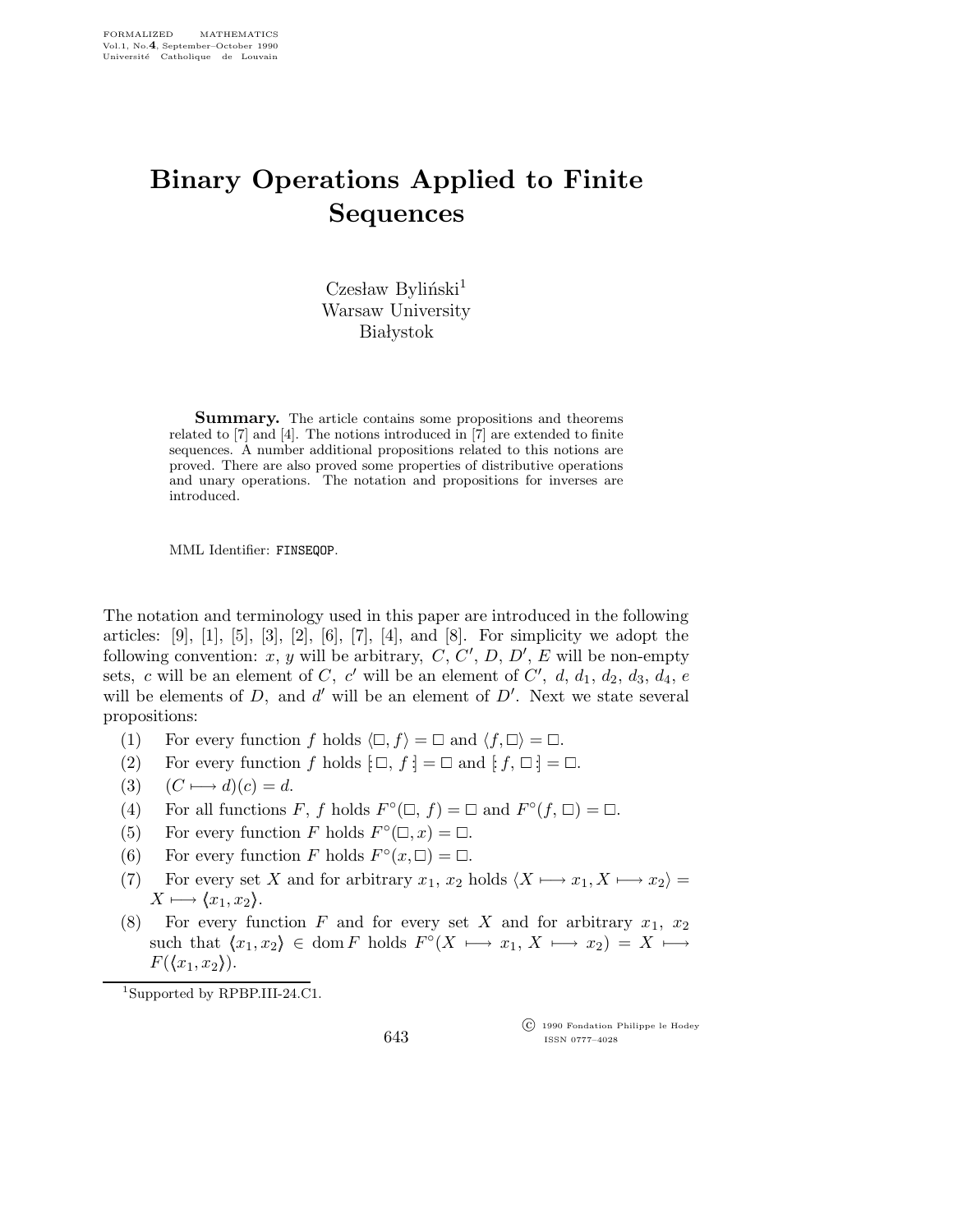## Binary Operations Applied to Finite Sequences

 $C$ zesław Byliński<sup>1</sup> Warsaw University **Białystok** 

Summary. The article contains some propositions and theorems related to [7] and [4]. The notions introduced in [7] are extended to finite sequences. A number additional propositions related to this notions are proved. There are also proved some properties of distributive operations and unary operations. The notation and propositions for inverses are introduced.

MML Identifier: FINSEQOP.

The notation and terminology used in this paper are introduced in the following articles:  $[9]$ ,  $[1]$ ,  $[5]$ ,  $[3]$ ,  $[2]$ ,  $[6]$ ,  $[7]$ ,  $[4]$ , and  $[8]$ . For simplicity we adopt the following convention: x, y will be arbitrary,  $C, C', D, D', E$  will be non-empty sets, c will be an element of C, c' will be an element of C', d,  $d_1$ ,  $d_2$ ,  $d_3$ ,  $d_4$ , e will be elements of  $D$ , and  $d'$  will be an element of  $D'$ . Next we state several propositions:

- (1) For every function f holds  $\langle \Box, f \rangle = \Box$  and  $\langle f, \Box \rangle = \Box$ .
- (2) For every function f holds  $[\Box, f] = \Box$  and  $[f, \Box] = \Box$ .
- (3)  $(C \longmapsto d)(c) = d$ .
- (4) For all functions F, f holds  $F^{\circ}(\Box, f) = \Box$  and  $F^{\circ}(f, \Box) = \Box$ .
- (5) For every function F holds  $F^{\circ}(\square, x) = \square$ .
- (6) For every function F holds  $F^{\circ}(x,\Box) = \Box$ .
- (7) For every set X and for arbitrary  $x_1, x_2$  holds  $\langle X \longmapsto x_1, X \longmapsto x_2 \rangle =$  $X \longmapsto \langle x_1, x_2 \rangle.$
- (8) For every function F and for every set X and for arbitrary  $x_1, x_2$ such that  $\langle x_1, x_2 \rangle \in \text{dom } F$  holds  $F^{\circ}(X \mapsto x_1, X \mapsto x_2) = X \mapsto$  $F(\langle x_1,x_2\rangle).$

<sup>1</sup>Supported by RPBP.III-24.C1.

643

 c 1990 Fondation Philippe le Hodey ISSN 0777–4028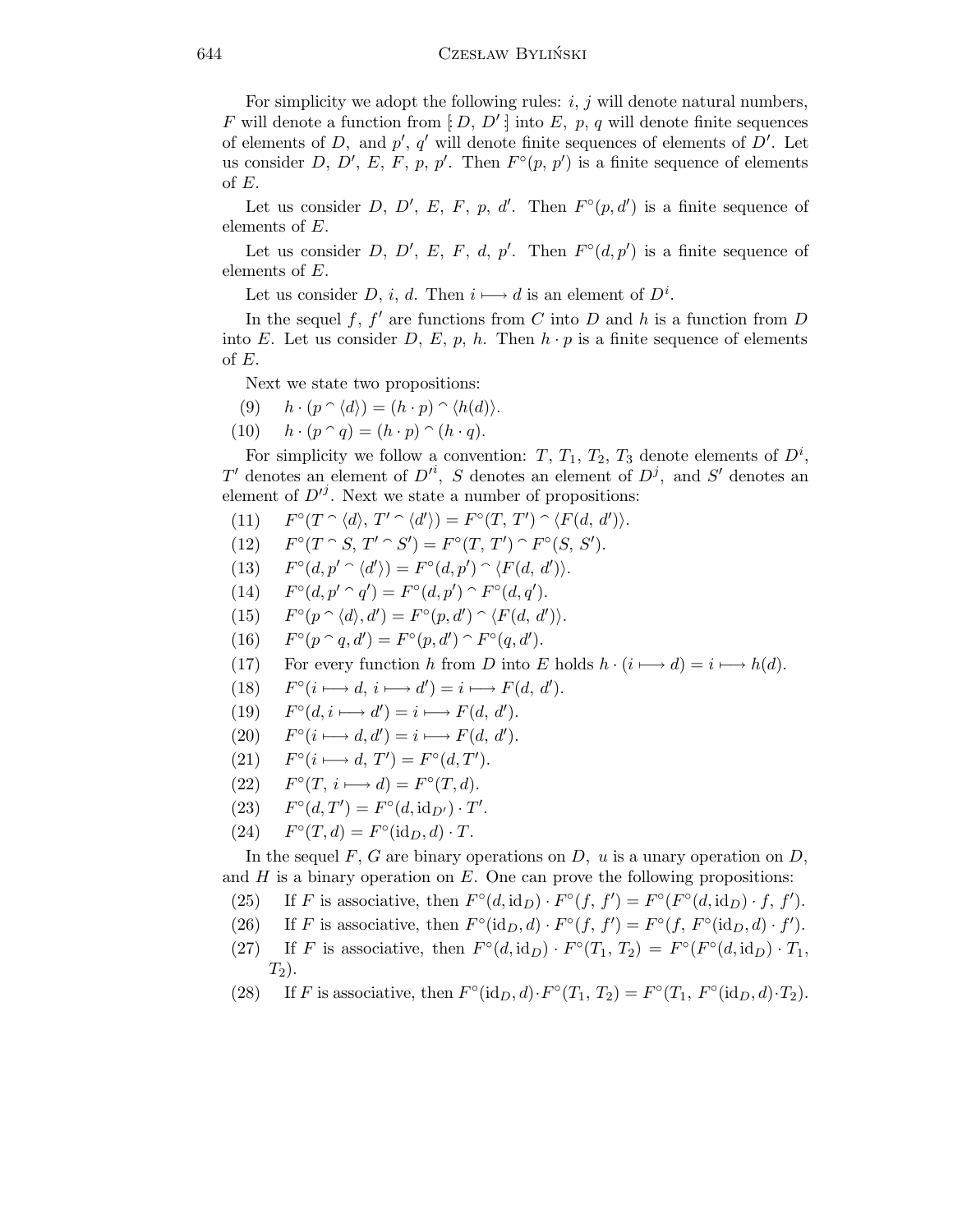For simplicity we adopt the following rules:  $i, j$  will denote natural numbers, F will denote a function from  $\lfloor D, D' \rfloor$  into E, p, q will denote finite sequences of elements of D, and  $p'$ ,  $q'$  will denote finite sequences of elements of  $D'$ . Let us consider D, D', E, F, p, p'. Then  $F^{\circ}(p, p')$  is a finite sequence of elements of E.

Let us consider D, D', E, F, p, d'. Then  $F^{\circ}(p, d')$  is a finite sequence of elements of E.

Let us consider D, D', E, F, d, p'. Then  $F^{\circ}(d, p')$  is a finite sequence of elements of E.

Let us consider D, i, d. Then  $i \mapsto d$  is an element of  $D^i$ .

In the sequel f,  $f'$  are functions from C into D and h is a function from D into E. Let us consider D, E, p, h. Then  $h \cdot p$  is a finite sequence of elements of  $E$ .

Next we state two propositions:

- (9)  $h \cdot (p \cap \langle d \rangle) = (h \cdot p) \cap \langle h(d) \rangle.$
- (10)  $h \cdot (p \cap q) = (h \cdot p) \cap (h \cdot q).$

For simplicity we follow a convention:  $T, T_1, T_2, T_3$  denote elements of  $D^i$ ,  $T'$  denotes an element of  $D'^i$ , S denotes an element of  $D^j$ , and S' denotes an element of  $D'^j$ . Next we state a number of propositions:

- $(11)$  $\mathcal{P}(T \cap \langle d \rangle, T' \cap \langle d' \rangle) = F^{\circ}(T, T') \cap \langle F(d, d') \rangle.$
- $(12)$  $\mathcal{C}(T \cap S, T' \cap S') = F^{\circ}(T, T') \cap F^{\circ}(S, S').$
- $(13)$  $\mathcal{P}(d, p' \cap \langle d' \rangle) = F^{\circ}(d, p') \cap \langle F(d, d') \rangle.$
- $(14)$  $\circ(d, p' \cap q') = F^{\circ}(d, p') \cap F^{\circ}(d, q').$
- $(15)$  $\mathcal{S}(p \cap \langle d \rangle, d') = F^{\circ}(p, d') \cap \langle F(d, d') \rangle.$
- $(16)$  $\mathcal{S}(p \cap q, d') = F^{\circ}(p, d') \cap F^{\circ}(q, d').$
- (17) For every function h from D into E holds  $h \cdot (i \rightarrow d) = i \rightarrow h(d)$ .
- $(18)$  $\circ (i \longmapsto d, i \longmapsto d') = i \longmapsto F(d, d').$
- $(19)$  $\circ (d, i \longmapsto d') = i \longmapsto F(d, d').$
- $(20)$  $\circ (i \longmapsto d, d') = i \longmapsto F(d, d').$
- $(21)$ ° $(i \rightarrow d, T') = F^{\circ}(d, T').$
- $(22)$  $\circ (T, i \longmapsto d) = F \circ (T, d).$
- $(23)$  $\mathcal{O}(d,T') = F^{\circ}(d,\mathrm{id}_{D'}) \cdot T'.$
- $(24)$  $\mathcal{O}(T,d) = F^{\circ}(\text{id}_D, d) \cdot T.$

In the sequel  $F, G$  are binary operations on D, u is a unary operation on D, and  $H$  is a binary operation on  $E$ . One can prove the following propositions:

- (25) If F is associative, then  $F^{\circ}(d, \mathrm{id}_D) \cdot F^{\circ}(f, f') = F^{\circ}(F^{\circ}(d, \mathrm{id}_D) \cdot f, f')$ .
- (26) If F is associative, then  $F^{\circ}(\text{id}_D, d) \cdot F^{\circ}(f, f') = F^{\circ}(f, F^{\circ}(\text{id}_D, d) \cdot f')$ .
- (27) If F is associative, then  $F^{\circ}(d, \text{id}_D) \cdot F^{\circ}(T_1, T_2) = F^{\circ}(F^{\circ}(d, \text{id}_D) \cdot T_1,$  $T_2$ ).
- (28) If F is associative, then  $F^{\circ}(\text{id}_D, d) \cdot F^{\circ}(T_1, T_2) = F^{\circ}(T_1, F^{\circ}(\text{id}_D, d) \cdot T_2)$ .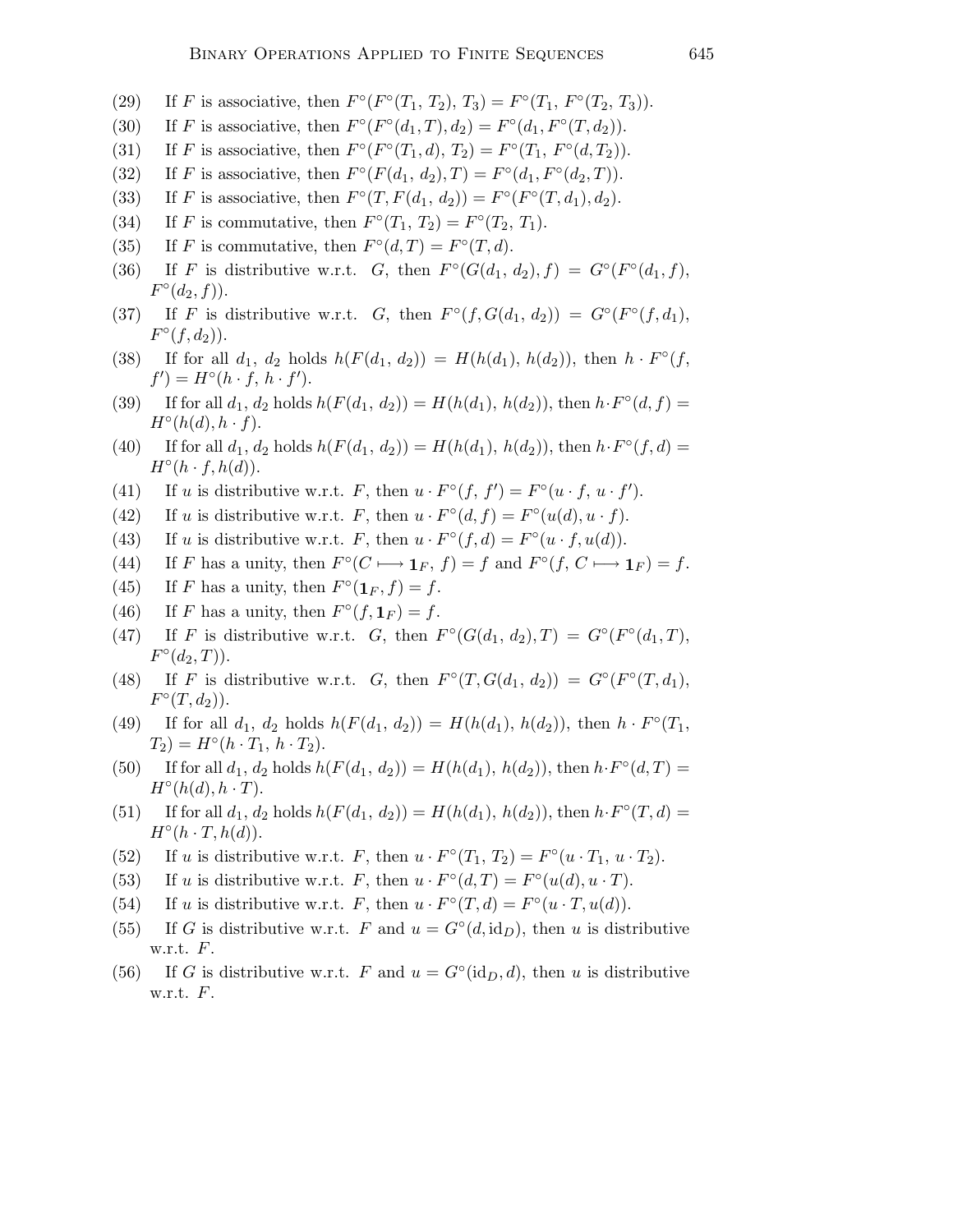- (29) If F is associative, then  $F^{\circ}(F^{\circ}(T_1, T_2), T_3) = F^{\circ}(T_1, F^{\circ}(T_2, T_3)).$
- (30) If F is associative, then  $F^{\circ}(F^{\circ}(d_1, T), d_2) = F^{\circ}(d_1, F^{\circ}(T, d_2)).$
- (31) If F is associative, then  $F^{\circ}(F^{\circ}(T_1,d), T_2) = F^{\circ}(T_1, F^{\circ}(d, T_2)).$
- (32) If F is associative, then  $F^{\circ}(F(d_1, d_2), T) = F^{\circ}(d_1, F^{\circ}(d_2, T)).$
- (33) If F is associative, then  $F^{\circ}(T, F(d_1, d_2)) = F^{\circ}(F^{\circ}(T, d_1), d_2)$ .
- (34) If F is commutative, then  $F^{\circ}(T_1, T_2) = F^{\circ}(T_2, T_1)$ .
- (35) If F is commutative, then  $F^{\circ}(d,T) = F^{\circ}(T,d)$ .
- (36) If F is distributive w.r.t. G, then  $F^{\circ}(G(d_1, d_2), f) = G^{\circ}(F^{\circ}(d_1, f))$ ,  $F^{\circ}(d_2, f)$ ).
- (37) If F is distributive w.r.t. G, then  $F^{\circ}(f, G(d_1, d_2)) = G^{\circ}(F^{\circ}(f, d_1),$  $F^{\circ}(f,d_2)$ ).
- (38) If for all  $d_1, d_2$  holds  $h(F(d_1, d_2)) = H(h(d_1), h(d_2))$ , then  $h \cdot F^{\circ}(f, d_2)$  $f'$ ) =  $H^{\circ}(h \cdot f, h \cdot f')$ .
- (39) If for all  $d_1, d_2$  holds  $h(F(d_1, d_2)) = H(h(d_1), h(d_2))$ , then  $h \cdot F^{\circ}(d, f) =$  $H^{\circ}(h(d), h \cdot f).$
- (40) If for all  $d_1, d_2$  holds  $h(F(d_1, d_2)) = H(h(d_1), h(d_2))$ , then  $h \cdot F^{\circ}(f, d) =$  $H^{\circ}(h \cdot f, h(d)).$
- (41) If u is distributive w.r.t. F, then  $u \cdot F^{\circ}(f, f') = F^{\circ}(u \cdot f, u \cdot f')$ .
- (42) If u is distributive w.r.t. F, then  $u \cdot F^{\circ}(d, f) = F^{\circ}(u(d), u \cdot f)$ .
- (43) If u is distributive w.r.t. F, then  $u \cdot F^{\circ}(f, d) = F^{\circ}(u \cdot f, u(d)).$
- (44) If F has a unity, then  $F^{\circ}(C \rightarrow \mathbf{1}_F, f) = f$  and  $F^{\circ}(f, C \rightarrow \mathbf{1}_F) = f$ .
- (45) If F has a unity, then  $F^{\circ}(\mathbf{1}_F, f) = f$ .
- (46) If F has a unity, then  $F^{\circ}(f, \mathbf{1}_F) = f$ .
- (47) If F is distributive w.r.t. G, then  $F^{\circ}(G(d_1, d_2), T) = G^{\circ}(F^{\circ}(d_1, T))$ ,  $F^{\circ}(d_2,T)$ ).
- (48) If F is distributive w.r.t. G, then  $F^{\circ}(T, G(d_1, d_2)) = G^{\circ}(F^{\circ}(T, d_1),$  $F^{\circ}(T, d_2)$ ).
- (49) If for all  $d_1, d_2$  holds  $h(F(d_1, d_2)) = H(h(d_1), h(d_2))$ , then  $h \cdot F^{\circ}(T_1,$  $T_2) = H^{\circ}(h \cdot T_1, h \cdot T_2).$
- (50) If for all  $d_1, d_2$  holds  $h(F(d_1, d_2)) = H(h(d_1), h(d_2))$ , then  $h \cdot F^{\circ}(d, T) =$  $H^{\circ}(h(d), h \cdot T).$
- (51) If for all  $d_1, d_2$  holds  $h(F(d_1, d_2)) = H(h(d_1), h(d_2))$ , then  $h \cdot F^{\circ}(T, d) =$  $H^{\circ}(h\cdot T, h(d)).$
- (52) If u is distributive w.r.t. F, then  $u \cdot F^{\circ}(T_1, T_2) = F^{\circ}(u \cdot T_1, u \cdot T_2)$ .
- (53) If u is distributive w.r.t. F, then  $u \cdot F^{\circ}(d,T) = F^{\circ}(u(d), u \cdot T)$ .
- (54) If u is distributive w.r.t. F, then  $u \cdot F^{\circ}(T, d) = F^{\circ}(u \cdot T, u(d)).$
- (55) If G is distributive w.r.t. F and  $u = G<sup>\circ</sup>(d, id<sub>D</sub>)$ , then u is distributive w.r.t.  $F$ .
- (56) If G is distributive w.r.t. F and  $u = G^\circ(\text{id}_D, d)$ , then u is distributive w.r.t.  $F$ .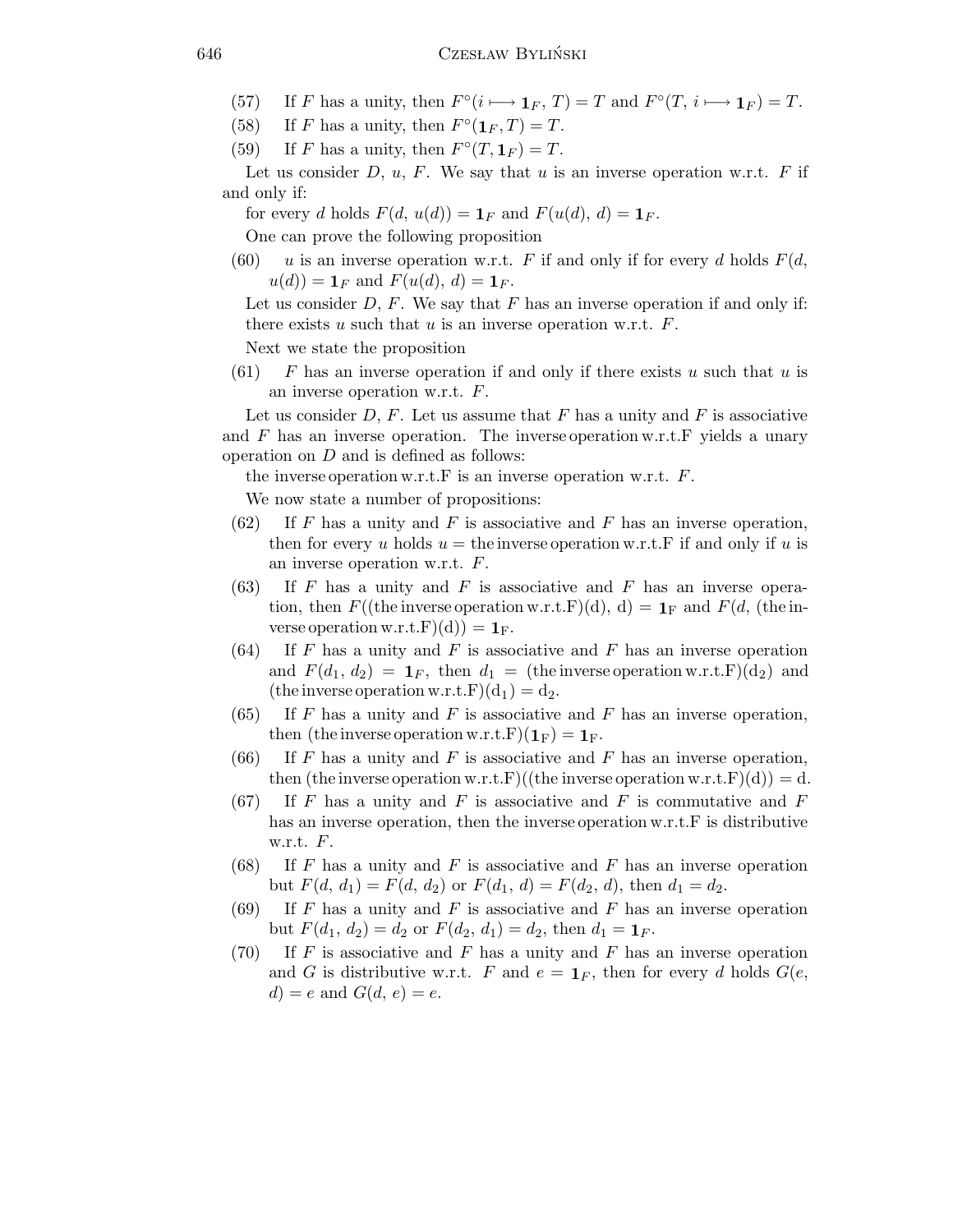- (57) If F has a unity, then  $F^{\circ}(i \longrightarrow \mathbf{1}_F, T) = T$  and  $F^{\circ}(T, i \longmapsto \mathbf{1}_F) = T$ .
- (58) If F has a unity, then  $F^{\circ}(\mathbf{1}_F, T) = T$ .
- (59) If F has a unity, then  $F^{\circ}(T, \mathbf{1}_F) = T$ .

Let us consider D, u, F. We say that u is an inverse operation w.r.t.  $F$  if and only if:

for every d holds  $F(d, u(d)) = \mathbf{1}_F$  and  $F(u(d), d) = \mathbf{1}_F$ .

One can prove the following proposition

(60) u is an inverse operation w.r.t. F if and only if for every d holds  $F(d,$  $u(d) = \mathbf{1}_F$  and  $F(u(d), d) = \mathbf{1}_F$ .

Let us consider  $D, F$ . We say that F has an inverse operation if and only if: there exists u such that u is an inverse operation w.r.t.  $F$ .

Next we state the proposition

(61) F has an inverse operation if and only if there exists u such that u is an inverse operation w.r.t. F.

Let us consider  $D, F$ . Let us assume that F has a unity and F is associative and  $F$  has an inverse operation. The inverse operation w.r.t. F yields a unary operation on  $D$  and is defined as follows:

the inverse operation w.r.t.F is an inverse operation w.r.t.  $F$ .

We now state a number of propositions:

- (62) If F has a unity and F is associative and F has an inverse operation, then for every u holds  $u =$  the inverse operation w.r.t. F if and only if u is an inverse operation w.r.t. F.
- (63) If F has a unity and F is associative and F has an inverse operation, then  $F((\text{the inverse operation w.r.t.}F)(d), d) = 1_F$  and  $F(d, (the in$ verse operation w.r.t.F $(d)$ ) =  $\mathbf{1}_F$ .
- $(64)$  If F has a unity and F is associative and F has an inverse operation and  $F(d_1, d_2) = \mathbf{1}_F$ , then  $d_1 =$  (the inverse operation w.r.t.F)(d<sub>2</sub>) and (the inverse operation w.r.t.F)(d<sub>1</sub>) = d<sub>2</sub>.
- (65) If F has a unity and F is associative and F has an inverse operation, then (the inverse operation w.r.t.F)( $\mathbf{1}_F$ ) =  $\mathbf{1}_F$ .
- (66) If F has a unity and F is associative and F has an inverse operation, then (the inverse operation w.r.t.F)((the inverse operation w.r.t.F)(d)) = d.
- $(67)$  If F has a unity and F is associative and F is commutative and F has an inverse operation, then the inverse operation w.r.t. F is distributive w.r.t.  $F$ .
- (68) If F has a unity and F is associative and F has an inverse operation but  $F(d, d_1) = F(d, d_2)$  or  $F(d_1, d) = F(d_2, d)$ , then  $d_1 = d_2$ .
- (69) If  $F$  has a unity and  $F$  is associative and  $F$  has an inverse operation but  $F(d_1, d_2) = d_2$  or  $F(d_2, d_1) = d_2$ , then  $d_1 = \mathbf{1}_F$ .
- (70) If F is associative and F has a unity and F has an inverse operation and G is distributive w.r.t. F and  $e = \mathbf{1}_F$ , then for every d holds  $G(e,$  $d$ ) = e and  $G(d, e) = e$ .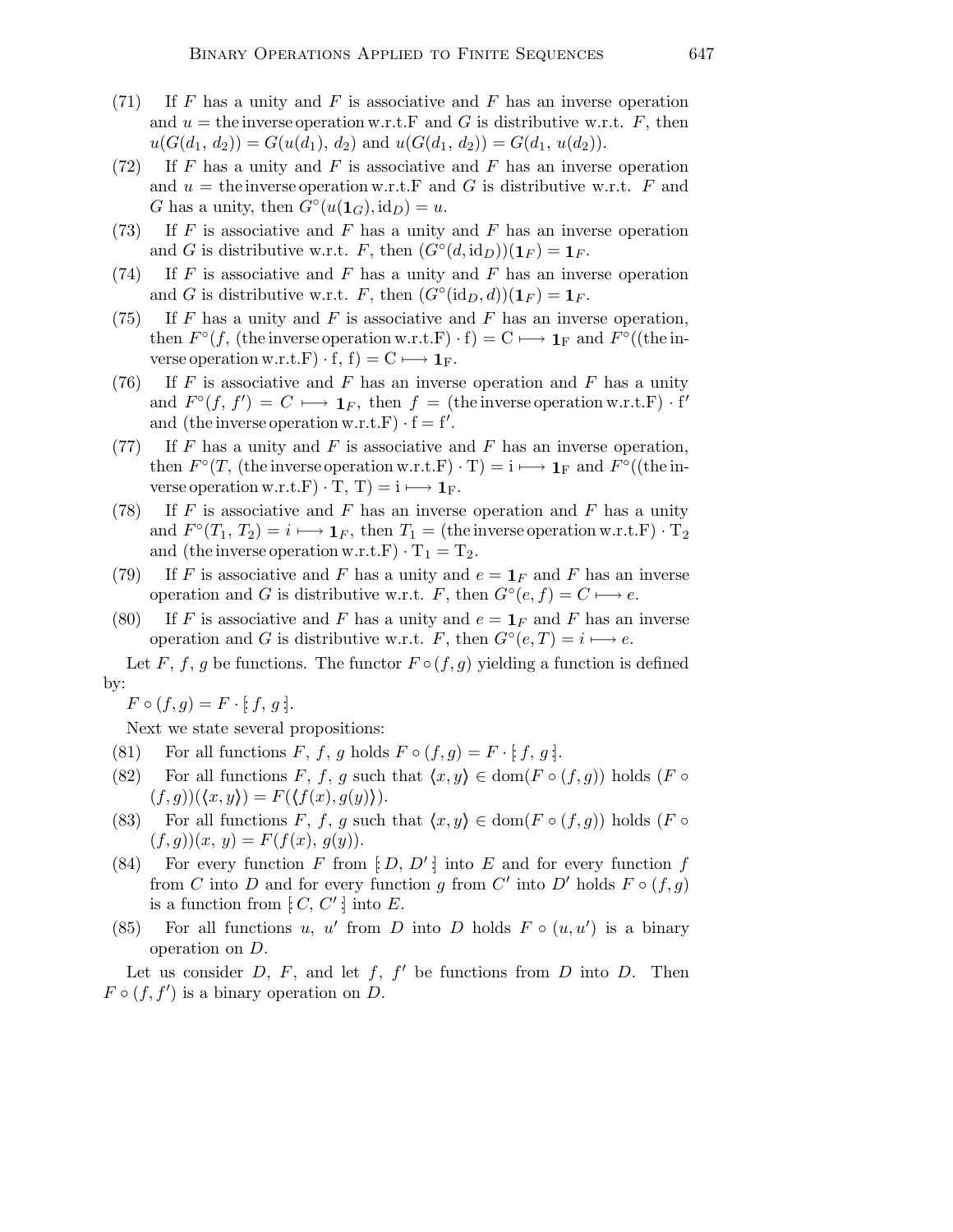- (71) If F has a unity and F is associative and F has an inverse operation and  $u =$  the inverse operation w.r.t. F and G is distributive w.r.t. F, then  $u(G(d_1, d_2)) = G(u(d_1), d_2)$  and  $u(G(d_1, d_2)) = G(d_1, u(d_2)).$
- (72) If F has a unity and F is associative and F has an inverse operation and  $u =$  the inverse operation w.r.t. F and G is distributive w.r.t. F and G has a unity, then  $G^{\circ}(u(\mathbf{1}_{G}), \mathrm{id}_{D})=u$ .
- (73) If  $F$  is associative and  $F$  has a unity and  $F$  has an inverse operation and G is distributive w.r.t. F, then  $(G^{\circ}(d, id_D))(1_F) = 1_F$ .
- (74) If F is associative and F has a unity and F has an inverse operation and G is distributive w.r.t. F, then  $(G^{\circ}(\text{id}_D, d))(1_F) = 1_F$ .
- (75) If F has a unity and F is associative and F has an inverse operation, then  $F^{\circ}(f, \text{ (the inverse operation w.r.t.} \mathbf{F}) \cdot \mathbf{f}) = \mathbf{C} \longmapsto \mathbf{1}_{\mathbf{F}} \text{ and } F^{\circ}((\text{the in-} \mathbf{F}) \cdot \mathbf{f}) = \mathbf{C} \mapsto \mathbf{1}_{\mathbf{F}} \text{ and } F^{\circ}((\text{the in-} \mathbf{F}) \cdot \mathbf{f}) = \mathbf{C} \mapsto \mathbf{1}_{\mathbf{F}} \text{ and } F^{\circ}((\text{the in-} \mathbf{F}) \cdot \mathbf{f}) = \mathbf{C} \mapsto \mathbf{1}_{\mathbf$ verse operation w.r.t.F)  $\cdot$  f, f) = C  $\longmapsto$  1<sub>F</sub>.
- (76) If F is associative and F has an inverse operation and F has a unity and  $F^{\circ}(f, f') = C \longmapsto \mathbf{1}_F$ , then  $f =$  (the inverse operation w.r.t.F)  $\cdot f'$ and (the inverse operation w.r.t.F)  $\cdot$  f = f'.
- (77) If F has a unity and F is associative and F has an inverse operation, then  $F^{\circ}(T)$ , (the inverse operation w.r.t.F) · T) = i  $\longmapsto$  **1**<sub>F</sub> and  $F^{\circ}$  ((the inverse operation w.r.t.F)  $\cdot$  T, T) = i  $\longmapsto$  1<sub>F</sub>.
- (78) If F is associative and F has an inverse operation and F has a unity and  $F^{\circ}(T_1, T_2) = i \longmapsto \mathbf{1}_F$ , then  $T_1 =$  (the inverse operation w.r.t.F) ·  $T_2$ and (the inverse operation w.r.t.F)  $\cdot$  T<sub>1</sub> = T<sub>2</sub>.
- (79) If F is associative and F has a unity and  $e = \mathbf{1}_F$  and F has an inverse operation and G is distributive w.r.t.  $F$ , then  $G^{\circ}(e, f) = C \longmapsto e$ .
- (80) If F is associative and F has a unity and  $e = \mathbf{1}_F$  and F has an inverse operation and G is distributive w.r.t.  $F$ , then  $G^{\circ}(e,T) = i \longmapsto e$ .

Let F, f, g be functions. The functor  $F \circ (f, g)$  yielding a function is defined by:

 $F \circ (f,g) = F \cdot [f, g].$ 

Next we state several propositions:

- (81) For all functions F, f, g holds  $F \circ (f,g) = F \cdot [f, g].$
- (82) For all functions F, f, g such that  $\langle x,y \rangle \in \text{dom}(F \circ (f,g))$  holds  $(F \circ$  $(f,g)(\langle x,y\rangle) = F(\langle f(x),g(y)\rangle).$
- (83) For all functions F, f, g such that  $\langle x,y \rangle \in \text{dom}(F \circ (f,g))$  holds  $(F \circ$  $(f,g)(x, y) = F(f(x), g(y)).$
- (84) For every function F from  $[D, D']$  into E and for every function f from C into D and for every function g from C' into D' holds  $F \circ (f, g)$ is a function from  $|C, C'|$  into E.
- (85) For all functions u, u' from D into D holds  $F \circ (u, u')$  is a binary operation on D.

Let us consider  $D, F,$  and let  $f, f'$  be functions from  $D$  into  $D$ . Then  $F \circ (f, f')$  is a binary operation on  $\tilde{D}$ .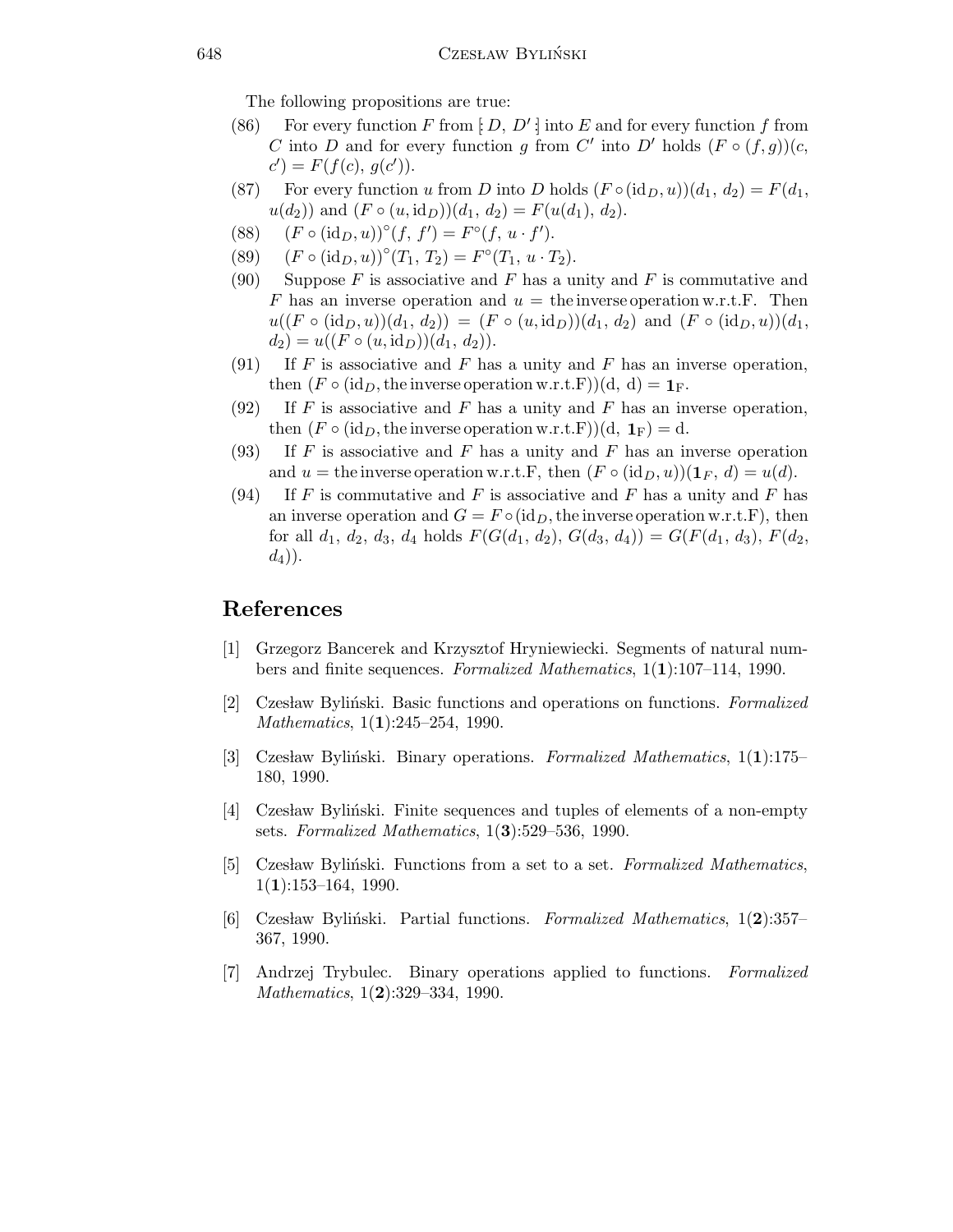The following propositions are true:

- (86) For every function F from  $\vert D, D' \vert$  into E and for every function f from C into D and for every function g from C' into D' holds  $(F \circ (f, g))(c,$  $c'$ ) =  $F(f(c), g(c'))$ .
- (87) For every function u from D into D holds  $(F \circ (id_D, u))(d_1, d_2) = F(d_1, d_2)$  $u(d_2)$  and  $(F \circ (u, \text{id}_D))(d_1, d_2) = F(u(d_1), d_2).$
- (88)  $(F \circ (\mathrm{id}_D, u))^{\circ}(f, f') = F^{\circ}(f, u \cdot f').$
- (89)  $(F \circ (\mathrm{id}_D, u))^{\circ}(T_1, T_2) = F^{\circ}(T_1, u \cdot T_2).$
- (90) Suppose F is associative and F has a unity and F is commutative and F has an inverse operation and  $u =$  the inverse operation w.r.t.F. Then  $u((F \circ (id_D, u))(d_1, d_2)) = (F \circ (u, id_D))(d_1, d_2)$  and  $(F \circ (id_D, u))(d_1, d_2)$  $d_2$ ) =  $u((F \circ (u, id_D))(d_1, d_2)).$
- (91) If F is associative and F has a unity and F has an inverse operation, then  $(F \circ (id_D, the inverse operation w.r.t. F))(d, d) = 1_F.$
- (92) If F is associative and F has a unity and F has an inverse operation, then  $(F \circ (id_D, the inverse operation w.r.t. F))(d, 1_F) = d.$
- (93) If F is associative and F has a unity and F has an inverse operation and  $u =$  the inverse operation w.r.t.F, then  $(F \circ (\text{id}_D, u))(1_F, d) = u(d)$ .
- (94) If F is commutative and F is associative and F has a unity and F has an inverse operation and  $G = F \circ (id_D, th$  inverse operation w.r.t.F), then for all  $d_1, d_2, d_3, d_4$  holds  $F(G(d_1, d_2), G(d_3, d_4)) = G(F(d_1, d_3), F(d_2, d_4))$  $(d_4)$ .

## References

- [1] Grzegorz Bancerek and Krzysztof Hryniewiecki. Segments of natural numbers and finite sequences. Formalized Mathematics, 1(1):107–114, 1990.
- [2] Czesław Byliński. Basic functions and operations on functions. Formalized Mathematics, 1(1):245–254, 1990.
- [3] Czesław Byliński. Binary operations. Formalized Mathematics,  $1(1):175-$ 180, 1990.
- [4] Czesław Byliński. Finite sequences and tuples of elements of a non-empty sets. Formalized Mathematics,  $1(3):529-536$ , 1990.
- [5] Czesław Byliński. Functions from a set to a set. Formalized Mathematics,  $1(1):153-164, 1990.$
- [6] Czesław Byliński. Partial functions. Formalized Mathematics,  $1(2):357-$ 367, 1990.
- [7] Andrzej Trybulec. Binary operations applied to functions. Formalized Mathematics, 1(2):329–334, 1990.